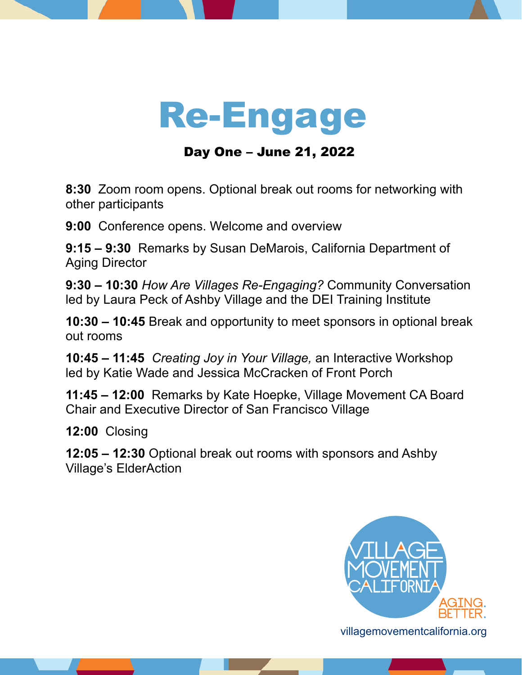## Re-Engage

Day One – June 21, 2022

**8:30** Zoom room opens. Optional break out rooms for networking with other participants

**9:00** Conference opens. Welcome and overview

**9:15 – 9:30** Remarks by Susan DeMarois, California Department of Aging Director

**9:30 – 10:30** *How Are Villages Re-Engaging?* Community Conversation led by Laura Peck of Ashby Village and the DEI Training Institute

**10:30 – 10:45** Break and opportunity to meet sponsors in optional break out rooms

**10:45 – 11:45** *Creating Joy in Your Village,* an Interactive Workshop led by Katie Wade and Jessica McCracken of Front Porch

**11:45 – 12:00** Remarks by Kate Hoepke, Village Movement CA Board Chair and Executive Director of San Francisco Village

**12:00** Closing

**12:05 – 12:30** Optional break out rooms with sponsors and Ashby Village's ElderAction



[villagemovementcalifornia.org](https://villagemovementcalifornia.org/)